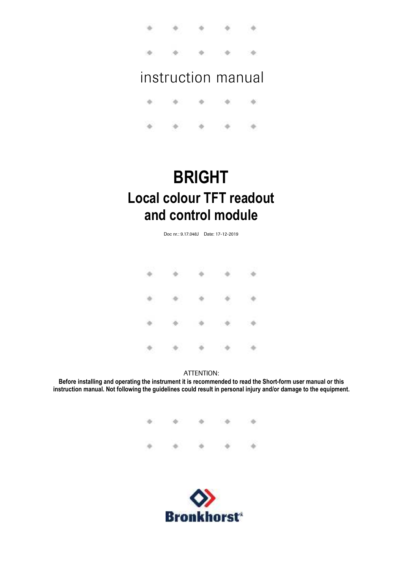$0 - 10 - 10$ o. alle controller

# instruction manual

ò. i6 idi. 160 亩 a. ×. a. alla

# **BRIGHT Local colour TFT readout and control module**

Doc nr.: 9.17.048J Date: 17-12-2019

|  | $\begin{array}{cccccccccccccc} a & & a & & a & & a & & a & & a \end{array}$                       |  |
|--|---------------------------------------------------------------------------------------------------|--|
|  |                                                                                                   |  |
|  | $\begin{array}{cccccccccccccc} a & & a & & b & & a & & b & & b \end{array}$                       |  |
|  | $\begin{array}{cccccccccccccc} \phi & \rightarrow & \phi & \phi & \phi & \phi & \phi \end{array}$ |  |

#### ATTENTION:

**Before installing and operating the instrument it is recommended to read the Short-form user manual or this instruction manual. Not following the guidelines could result in personal injury and/or damage to the equipment.**

> $\ddot{\phi}$ ä, **d** ÷  $\Rightarrow$  $\rightarrow$

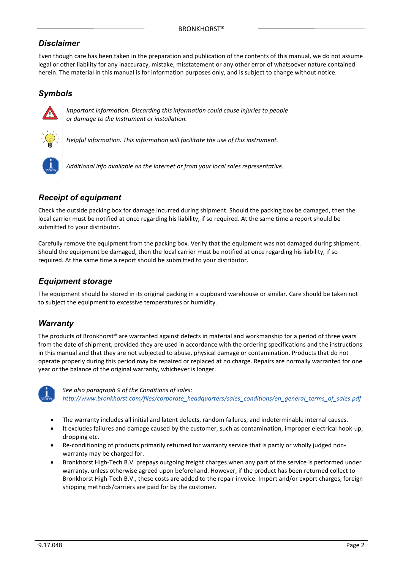### *Disclaimer*

Even though care has been taken in the preparation and publication of the contents of this manual, we do not assume legal or other liability for any inaccuracy, mistake, misstatement or any other error of whatsoever nature contained herein. The material in this manual is for information purposes only, and is subject to change without notice.

### *Symbols*



*Important information. Discarding this information could cause injuries to people or damage to the Instrument or installation.*

*Helpful information. This information will facilitate the use of this instrument.*

*Additional info available on the internet or from your local sales representative.*

### *Receipt of equipment*

Check the outside packing box for damage incurred during shipment. Should the packing box be damaged, then the local carrier must be notified at once regarding his liability, if so required. At the same time a report should be submitted to your distributor.

Carefully remove the equipment from the packing box. Verify that the equipment was not damaged during shipment. Should the equipment be damaged, then the local carrier must be notified at once regarding his liability, if so required. At the same time a report should be submitted to your distributor.

### *Equipment storage*

The equipment should be stored in its original packing in a cupboard warehouse or similar. Care should be taken not to subject the equipment to excessive temperatures or humidity.

### *Warranty*

The products of Bronkhorst® are warranted against defects in material and workmanship for a period of three years from the date of shipment, provided they are used in accordance with the ordering specifications and the instructions in this manual and that they are not subjected to abuse, physical damage or contamination. Products that do not operate properly during this period may be repaired or replaced at no charge. Repairs are normally warranted for one year or the balance of the original warranty, whichever is longer.



*See also paragraph 9 of the Conditions of sales: http://www.bronkhorst.com/files/corporate\_headquarters/sales\_conditions/en\_general\_terms\_of\_sales.pdf*

- The warranty includes all initial and latent defects, random failures, and indeterminable internal causes.
- It excludes failures and damage caused by the customer, such as contamination, improper electrical hook-up, dropping etc.
- Re-conditioning of products primarily returned for warranty service that is partly or wholly judged nonwarranty may be charged for.
- Bronkhorst High-Tech B.V. prepays outgoing freight charges when any part of the service is performed under warranty, unless otherwise agreed upon beforehand. However, if the product has been returned collect to Bronkhorst High-Tech B.V., these costs are added to the repair invoice. Import and/or export charges, foreign shipping methods/carriers are paid for by the customer.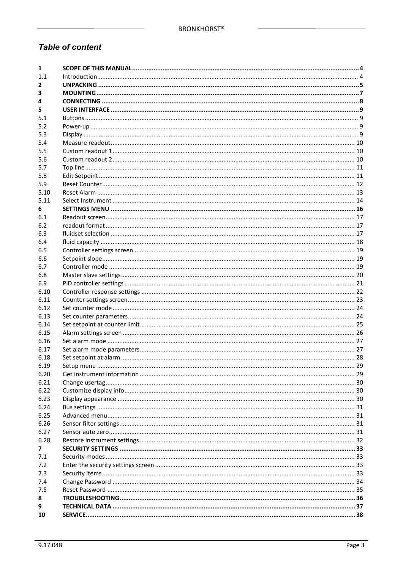### **Table of content**

| 1    |  |
|------|--|
| 1.1  |  |
| 2    |  |
| з    |  |
| 4    |  |
| 5    |  |
| 5.1  |  |
| 5.2  |  |
| 5.3  |  |
| 5.4  |  |
| 5.5  |  |
| 5.6  |  |
| 5.7  |  |
| 5.8  |  |
| 5.9  |  |
| 5.10 |  |
| 5.11 |  |
| 6    |  |
| 6.1  |  |
| 6.2  |  |
| 6.3  |  |
| 6.4  |  |
| 6.5  |  |
| 6.6  |  |
| 6.7  |  |
| 6.8  |  |
| 6.9  |  |
| 6.10 |  |
| 6.11 |  |
| 6.12 |  |
| 6.13 |  |
| 6.14 |  |
| 6.15 |  |
| 6.16 |  |
| 6.17 |  |
| 6.18 |  |
| 6.19 |  |
| 6.20 |  |
| 6.21 |  |
| 6.22 |  |
| 6.23 |  |
| 6.24 |  |
| 6.25 |  |
| 6.26 |  |
| 6.27 |  |
| 6.28 |  |
| 7    |  |
| 7.1  |  |
| 7.2  |  |
| 7.3  |  |
| 7.4  |  |
| 7.5  |  |
| 8    |  |
| 9    |  |
| 10   |  |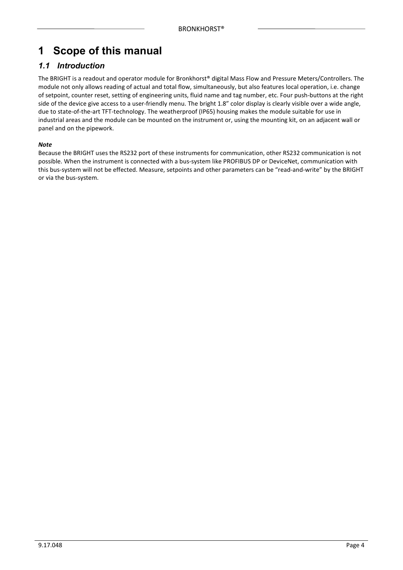# **1 Scope of this manual**

### *1.1 Introduction*

The BRIGHT is a readout and operator module for Bronkhorst® digital Mass Flow and Pressure Meters/Controllers. The module not only allows reading of actual and total flow, simultaneously, but also features local operation, i.e. change of setpoint, counter reset, setting of engineering units, fluid name and tag number, etc. Four push-buttons at the right side of the device give access to a user-friendly menu. The bright 1.8" color display is clearly visible over a wide angle, due to state-of-the-art TFT-technology. The weatherproof (IP65) housing makes the module suitable for use in industrial areas and the module can be mounted on the instrument or, using the mounting kit, on an adjacent wall or panel and on the pipework.

#### *Note*

Because the BRIGHT uses the RS232 port of these instruments for communication, other RS232 communication is not possible. When the instrument is connected with a bus-system like PROFIBUS DP or DeviceNet, communication with this bus-system will not be effected. Measure, setpoints and other parameters can be "read-and-write" by the BRIGHT or via the bus-system.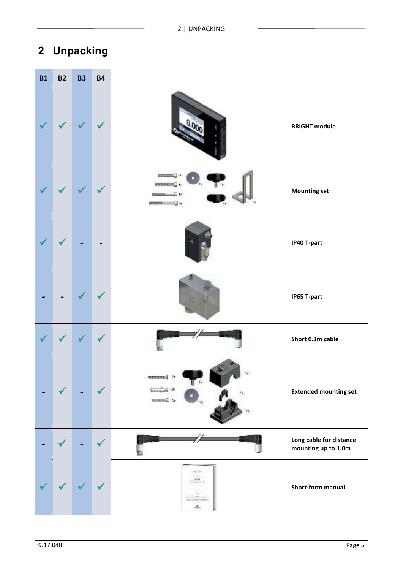# **2 Unpacking**

| <b>B1</b> | <b>B2</b> | <b>B3</b> | <b>B4</b> |                                         |                                                |
|-----------|-----------|-----------|-----------|-----------------------------------------|------------------------------------------------|
|           |           |           |           |                                         | <b>BRIGHT module</b>                           |
|           |           |           |           | <b><i><u>RESERVED BY A 1999</u></i></b> | <b>Mounting set</b>                            |
|           |           |           |           |                                         | IP40 T-part                                    |
|           |           |           |           |                                         | IP65 T-part                                    |
|           |           |           |           |                                         | Short 0.3m cable                               |
|           |           |           |           | <b>SEEEEEE</b>                          | <b>Extended mounting set</b>                   |
|           |           |           |           |                                         | Long cable for distance<br>mounting up to 1.0m |
|           |           |           |           | $-$                                     | Short-form manual                              |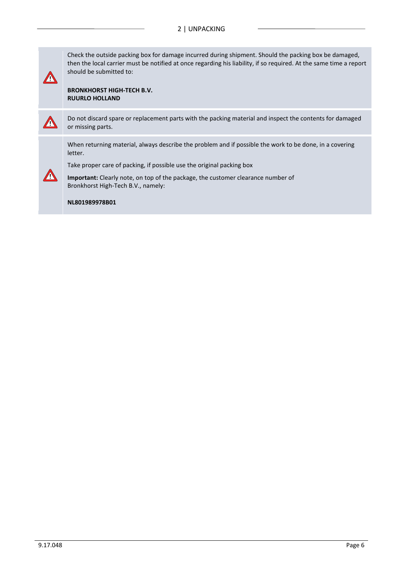Check the outside packing box for damage incurred during shipment. Should the packing box be damaged, then the local carrier must be notified at once regarding his liability, if so required. At the same time a report should be submitted to:

**BRONKHORST HIGH-TECH B.V. RUURLO HOLLAND**



**!**

Do not discard spare or replacement parts with the packing material and inspect the contents for damaged or missing parts.

When returning material, always describe the problem and if possible the work to be done, in a covering letter.

Take proper care of packing, if possible use the original packing box



**Important:** Clearly note, on top of the package, the customer clearance number of Bronkhorst High-Tech B.V., namely:

**NL801989978B01**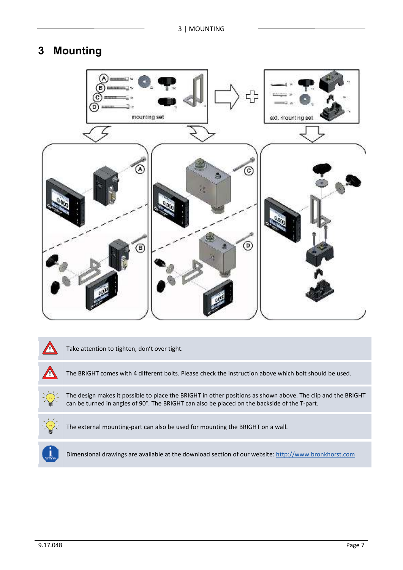# **3 Mounting**



| Take attention to tighten, don't over tight.                                                                                                                                                                |
|-------------------------------------------------------------------------------------------------------------------------------------------------------------------------------------------------------------|
| The BRIGHT comes with 4 different bolts. Please check the instruction above which bolt should be used.                                                                                                      |
| The design makes it possible to place the BRIGHT in other positions as shown above. The clip and the BRIGHT<br>can be turned in angles of 90°. The BRIGHT can also be placed on the backside of the T-part. |
| The external mounting-part can also be used for mounting the BRIGHT on a wall.                                                                                                                              |
|                                                                                                                                                                                                             |

Dimensional drawings are available at the download section of our website: http://www.bronkhorst.com

ᆜ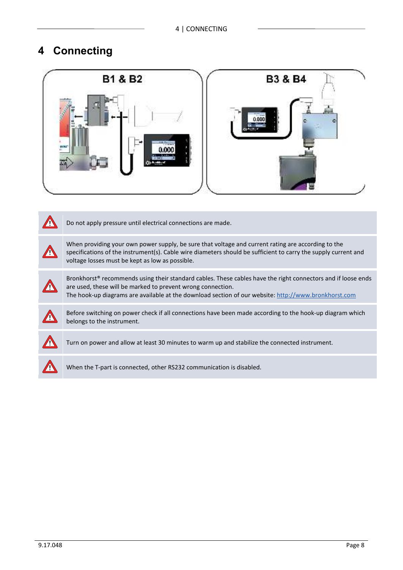# **4 Connecting**



**!** Do not apply pressure until electrical connections are made.

When providing your own power supply, be sure that voltage and current rating are according to the specifications of the instrument(s). Cable wire diameters should be sufficient to carry the supply current and voltage losses must be kept as low as possible.



**!**

Bronkhorst® recommends using their standard cables. These cables have the right connectors and if loose ends are used, these will be marked to prevent wrong connection.

The hook-up diagrams are available at the download section of our website: http://www.bronkhorst.com



Before switching on power check if all connections have been made according to the hook-up diagram which belongs to the instrument.



**!** Turn on power and allow at least 30 minutes to warm up and stabilize the connected instrument.



**!** When the T-part is connected, other RS232 communication is disabled.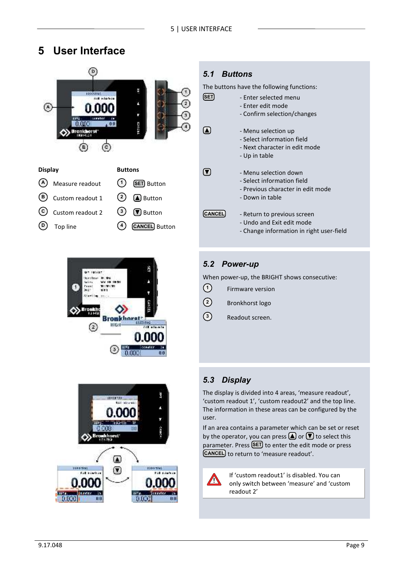# **5 User Interface**



| <b>Display</b> |                        | <b>Buttons</b> |                       |
|----------------|------------------------|----------------|-----------------------|
|                | (A) Measure readout    | (1)            | <b>SET</b> Button     |
|                | $(B)$ Custom readout 1 |                | $(2)$ <b>A</b> Button |
|                | C Custom readout 2     |                | $(3)$ (V) Button      |
|                | $(D)$ Top line         | (4)            | <b>CANCEL</b> Button  |
|                |                        |                |                       |





### *5.1 Buttons*

The buttons have the following functions:

| SET           | - Enter selected menu<br>- Enter edit mode                                                                  |
|---------------|-------------------------------------------------------------------------------------------------------------|
| IA.           | - Confirm selection/changes<br>- Menu selection up<br>- Select information field                            |
|               | - Next character in edit mode<br>- Up in table                                                              |
| IV.           | - Menu selection down<br>- Select information field<br>- Previous character in edit mode<br>- Down in table |
| <b>CANCEL</b> | - Return to previous screen<br>- Undo and Exit edit mode<br>- Change information in right user-field        |

### *5.2 Power-up*

When power-up, the BRIGHT shows consecutive:

- Firmware version **1**
- Bronkhorst logo **2**
- Readout screen. **3**

### *5.3 Display*

The display is divided into 4 areas, 'measure readout', 'custom readout 1', 'custom readout2' and the top line. The information in these areas can be configured by the user.

If an area contains a parameter which can be set or reset by the operator, you can press  $\bigcirc$  or  $\bigcirc$  to select this parameter. Press **(SET**) to enter the edit mode or press to return to 'measure readout'. **SET CANCEL**

**!**

If 'custom readout1' is disabled. You can only switch between 'measure' and 'custom readout 2'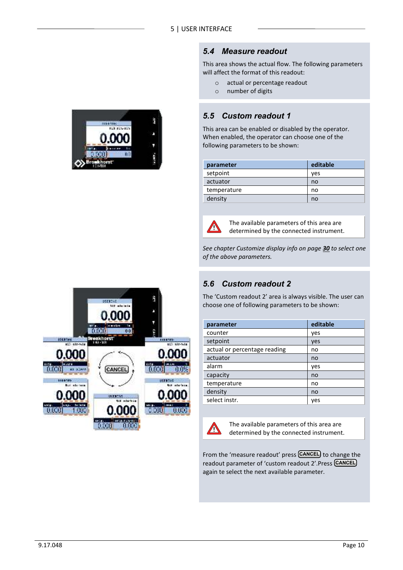



This area shows the actual flow. The following parameters will affect the format of this readout:

- o actual or percentage readout
- o number of digits

### *5.5 Custom readout 1*

This area can be enabled or disabled by the operator. When enabled, the operator can choose one of the following parameters to be shown:

| parameter   | editable |
|-------------|----------|
| setpoint    | ves      |
| actuator    | no       |
| temperature | no       |
| density     | no       |



The available parameters of this area are determined by the connected instrument.

*See chapter Customize display info on page 30 to select one of the above parameters.*

### *5.6 Custom readout 2*

The 'Custom readout 2' area is always visible. The user can choose one of following parameters to be shown:

| parameter                    | editable |
|------------------------------|----------|
| counter                      | yes      |
| setpoint                     | yes      |
| actual or percentage reading | no       |
| actuator                     | no       |
| alarm                        | yes      |
| capacity                     | no       |
| temperature                  | no       |
| density                      | no       |
| select instr.                | ves      |



The available parameters of this area are determined by the connected instrument.

From the 'measure readout' press **CANCEL** to change the readout parameter of 'custom readout 2'.Press **CANCEL**again te select the next available parameter.

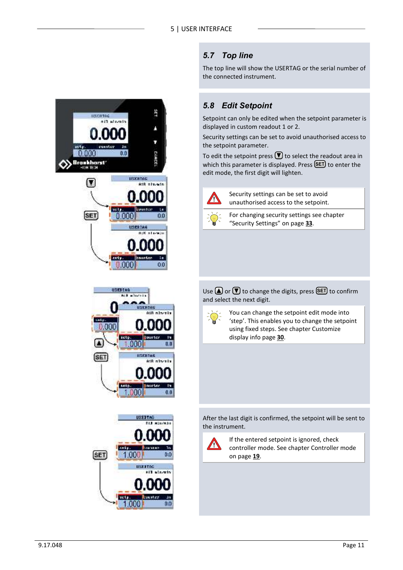### *5.7 Top line*

The top line will show the USERTAG or the serial number of the connected instrument.

## *5.8 Edit Setpoint*

Setpoint can only be edited when the setpoint parameter is displayed in custom readout 1 or 2.

Security settings can be set to avoid unauthorised access to the setpoint parameter.

To edit the setpoint press  $\bigtriangledown$  to select the readout area in which this parameter is displayed. Press **(SET**) to enter the edit mode, the first digit will lighten.



Security settings can be set to avoid unauthorised access to the setpoint.



For changing security settings see chapter "Security Settings" on page **33**.

Use  $\Box$  or  $\Box$  to change the digits, press  $\Box$  to confirm and select the next digit.



You can change the setpoint edit mode into 'step'. This enables you to change the setpoint using fixed steps. See chapter Customize display info page **30**.

After the last digit is confirmed, the setpoint will be sent to the instrument.



If the entered setpoint is ignored, check controller mode. See chapter Controller mode on page **19**.



sety.  $1,000$ 

 $0.0$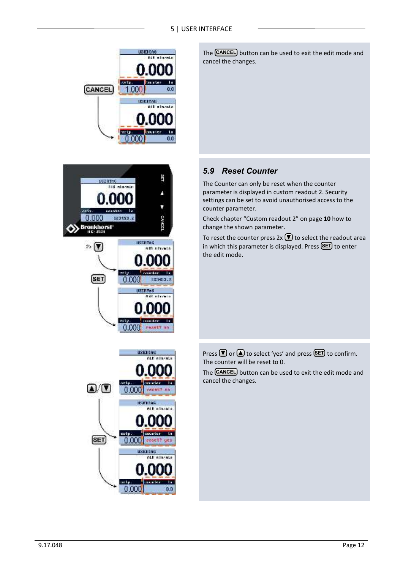#### 5 | USER INTERFACE







*<u>Familie</u>* 

PASATT

 $0.000$ 

The **CANCEL** button can be used to exit the edit mode and cancel the changes.

### *5.9 Reset Counter*

The Counter can only be reset when the counter parameter is displayed in custom readout 2. Security settings can be set to avoid unauthorised access to the counter parameter.

Check chapter "Custom readout 2" on page **10** how to change the shown parameter.

To reset the counter press  $2x \nabla$  to select the readout area in which this parameter is displayed. Press (SET) to enter the edit mode.

Press  $\Box$  or  $\Box$  to select 'yes' and press  $\Box$  to confirm. The counter will be reset to 0.

The **CANCEL** button can be used to exit the edit mode and cancel the changes.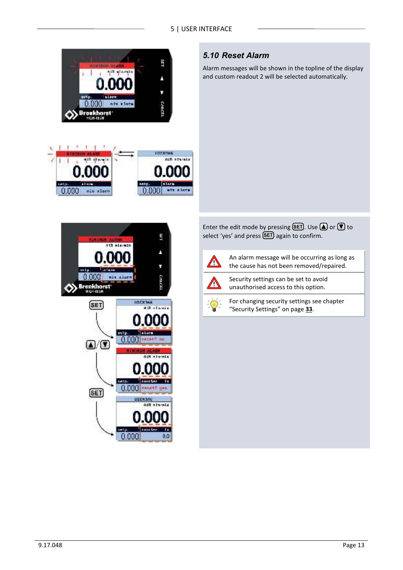

 $0.000$ 

min alors



Alarm messages will be shown in the topline of the display and custom readout 2 will be selected automatically.



Enter the edit mode by pressing  $\boxed{\text{SET}}$ . Use  $\boxed{\triangle}$  or  $\boxed{\triangledown}$  to select 'yes' and press **(SET**) again to confirm.



0.000 atv store

An alarm message will be occurring as long as the cause has not been removed/repaired.



Security settings can be set to avoid unauthorised access to this option.

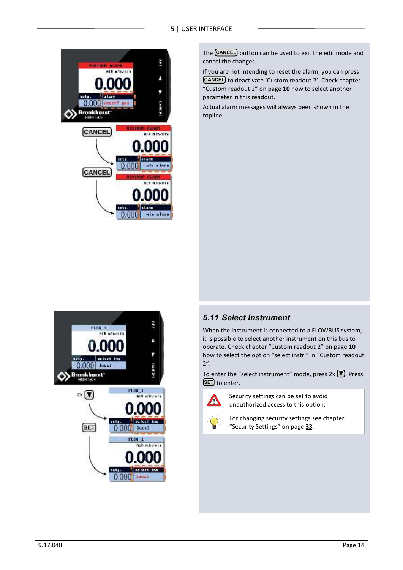

The **CANCEL** button can be used to exit the edit mode and cancel the changes.

If you are not intending to reset the alarm, you can press **CANCEL** to deactivate 'Custom readout 2'. Check chapter "Custom readout 2" on page **10** how to select another parameter in this readout.

Actual alarm messages will always been shown in the topline.



### *5.11 Select Instrument*

When the instrument is connected to a FLOWBUS system, it is possible to select another instrument on this bus to operate. Check chapter "Custom readout 2" on page **10** how to select the option "select instr." in "Custom readout 2".

To enter the "select instrument" mode, press  $2x \nabla$ . Press **SET)** to enter.



Security settings can be set to avoid unauthorized access to this option.



For changing security settings see chapter "Security Settings" on page **33**.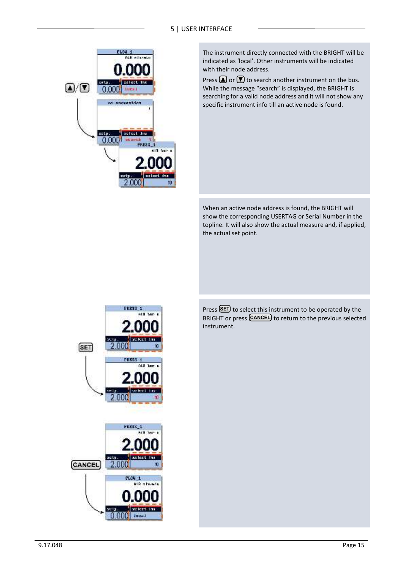#### 5 | USER INTERFACE



The instrument directly connected with the BRIGHT will be indicated as 'local'. Other instruments will be indicated with their node address.

Press  $\Omega$  or  $\nabla$  to search another instrument on the bus. While the message "search" is displayed, the BRIGHT is searching for a valid node address and it will not show any specific instrument info till an active node is found.

When an active node address is found, the BRIGHT will show the corresponding USERTAG or Serial Number in the topline. It will also show the actual measure and, if applied, the actual set point.



Press (SET) to select this instrument to be operated by the BRIGHT or press **CANCEL** to return to the previous selected instrument.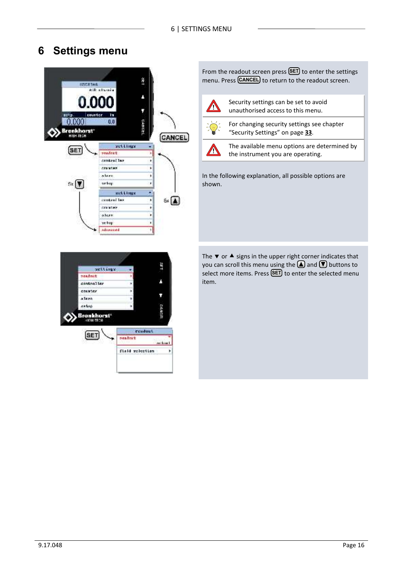# **6 Settings menu**



From the readout screen press (SET) to enter the settings menu. Press **CANCEL** to return to the readout screen.



Security settings can be set to avoid unauthorised access to this menu.



For changing security settings see chapter "Security Settings" on page **33**.



The available menu options are determined by the instrument you are operating.

In the following explanation, all possible options are shown.

The  $\blacktriangledown$  or  $\blacktriangle$  signs in the upper right corner indicates that you can scroll this menu using the  $\bigcirc$  and  $\bigcirc$  buttons to select more items. Press **(SET**) to enter the selected menu item.

| settings.                      |                 |               |
|--------------------------------|-----------------|---------------|
| passant.                       |                 |               |
| centralier                     |                 |               |
| COUNTRY                        |                 |               |
| alayn.                         |                 |               |
| satup                          |                 |               |
| <b>Bronkhorst</b> *<br>HEHSTEH |                 | CANGE         |
| <b>SET</b>                     | readuct         |               |
|                                | <b>DARAILY</b>  | <b>Arthur</b> |
|                                | field relection |               |
|                                |                 |               |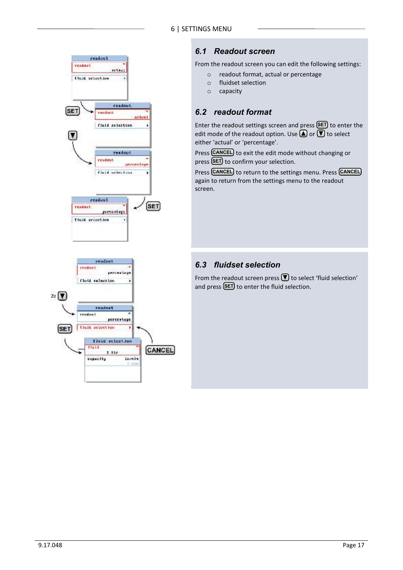

### *6.1 Readout screen*

From the readout screen you can edit the following settings:

- o readout format, actual or percentage
- o fluidset selection
- o capacity

### *6.2 readout format*

Enter the readout settings screen and press (SET) to enter the edit mode of the readout option. Use  $\bigcirc$  or  $\bigcirc$  to select either 'actual' or 'percentage'.

Press **CANCEL** to exit the edit mode without changing or press (SET) to confirm your selection.

Press **CANCEL** to return to the settings menu. Press **CANCEL** again to return from the settings menu to the readout screen.

### *6.3 fluidset selection*

From the readout screen press  $\blacksquare$  to select 'fluid selection' and press (SET) to enter the fluid selection.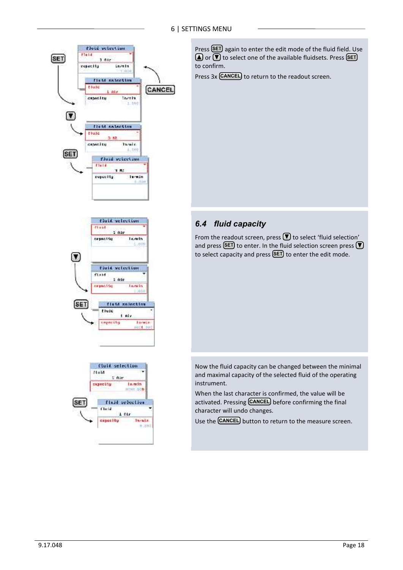





Press **(SET**) again to enter the edit mode of the fluid field. Use or **V** to select one of the available fluidsets. Press **SET** to confirm.

Press 3x **CANCEL** to return to the readout screen.

### *6.4 fluid capacity*

From the readout screen, press  $\blacksquare$  to select 'fluid selection' and press **(SET**) to enter. In the fluid selection screen press to select capacity and press **(SET**) to enter the edit mode.

Now the fluid capacity can be changed between the minimal and maximal capacity of the selected fluid of the operating instrument.

When the last character is confirmed, the value will be activated. Pressing **CANCEL** before confirming the final character will undo changes.

Use the **CANCEL** button to return to the measure screen.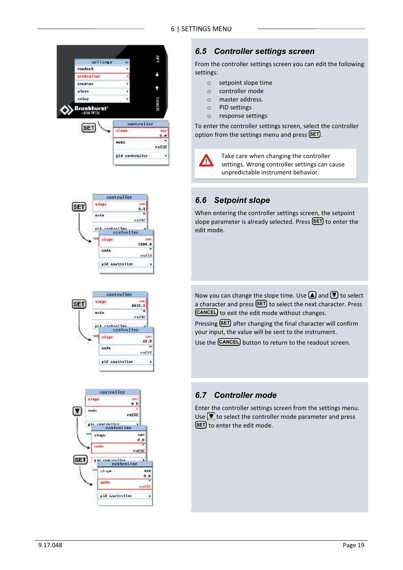







### *6.5 Controller settings screen*

From the controller settings screen you can edit the following settings:

- o setpoint slope time
- o controller mode
- o master address.
- o PID settings
- o response settings

To enter the controller settings screen, select the controller option from the settings menu and press **(SET**).



Take care when changing the controller settings. Wrong controller settings can cause unpredictable instrument behavior.

### *6.6 Setpoint slope*

When entering the controller settings screen, the setpoint slope parameter is already selected. Press **(SET**) to enter the edit mode.

Now you can change the slope time. Use  $\bigcirc$  and  $\bigcirc$  to select a character and press (SET) to select the next character. Press **CANCEL** to exit the edit mode without changes.

Pressing **SET** after changing the final character will confirm your input, the value will be sent to the instrument.

Use the **CANCEL** button to return to the readout screen.

### *6.7 Controller mode*

Enter the controller settings screen from the settings menu. Use  $\blacktriangledown$  to select the controller mode parameter and press **SET)** to enter the edit mode.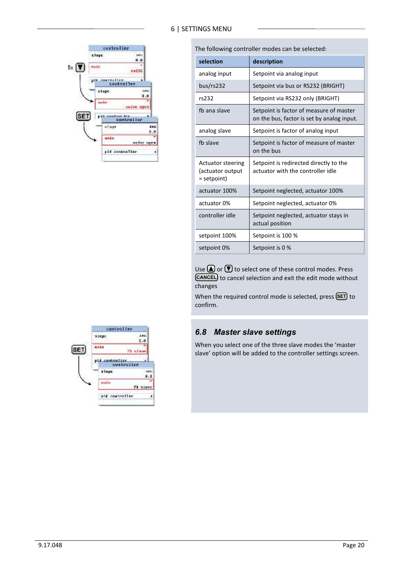

**selection description** analog input | Setpoint via analog input bus/rs232 | Setpoint via bus or RS232 (BRIGHT) rs232 Setpoint via RS232 only (BRIGHT) fb ana slave  $\vert$  Setpoint is factor of measure of master on the bus, factor is set by analog input. analog slave  $\left| \right|$  Setpoint is factor of analog input fb slave Setpoint is factor of measure of master on the bus Actuator steering (actuator output = setpoint) Setpoint is redirected directly to the actuator with the controller idle actuator 100% Setpoint neglected, actuator 100% actuator 0% Setpoint neglected, actuator 0% controller idle | Setpoint neglected, actuator stays in actual position setpoint 100% | Setpoint is 100 % setpoint 0% Setpoint is 0 %

The following controller modes can be selected:

Use  $\bigcirc$  or  $\bigcirc$  to select one of these control modes. Press **CANCEL** to cancel selection and exit the edit mode without changes

When the required control mode is selected, press **(SET)** to confirm.

#### *6.8 Master slave settings*

When you select one of the three slave modes the 'master slave' option will be added to the controller settings screen.

| controller     |                              |
|----------------|------------------------------|
| ulogr          |                              |
|                | $\cdot$                      |
| an Jan         |                              |
|                | Ph also                      |
| pid contralier |                              |
| tlops.         |                              |
|                | o.                           |
|                |                              |
|                | fh zieur                     |
|                |                              |
|                | controlter.<br>aid commalier |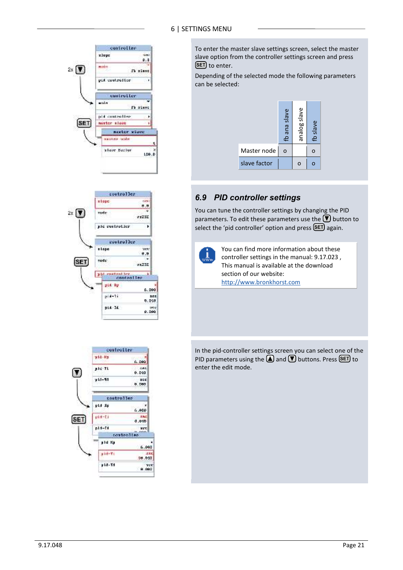

314 metent by

pid by

 $p(4 - 1)$ 

ptd-3d

h.

6.000

102<br>839 - 10

 $0.109$ 



To enter the master slave settings screen, select the master slave option from the controller settings screen and press **SET**) to enter.

Depending of the selected mode the following parameters can be selected:



### *6.9 PID controller settings*

You can tune the controller settings by changing the PID parameters. To edit these parameters use the  $\bigtriangledown$  button to select the 'pid controller' option and press (SET) again.

| œт<br>Ĩ |  |
|---------|--|
|         |  |

You can find more information about these controller settings in the manual: 9.17.023 , This manual is available at the download section of our website: http://www.bronkhorst.com

In the pid-controller settings screen you can select one of the PID parameters using the **A** and **V** buttons. Press **SET** to enter the edit mode.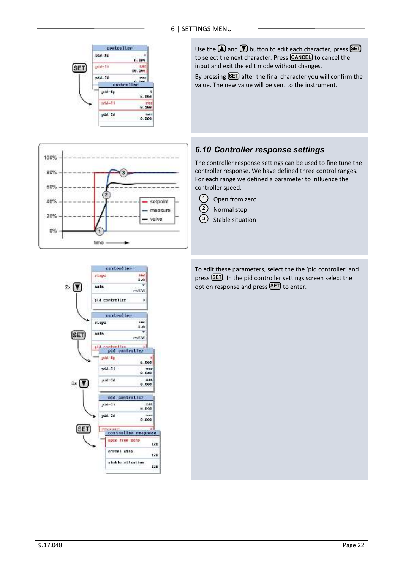



Use the **A** and **V** button to edit each character, press **SET** to select the next character. Press **[CANCEL**] to cancel the input and exit the edit mode without changes.

By pressing **SET** after the final character you will confirm the value. The new value will be sent to the instrument.

### *6.10 Controller response settings*

The controller response settings can be used to fine tune the controller response. We have defined three control ranges. For each range we defined a parameter to influence the controller speed.

- Open from zero  $(1)$
- Normal step **2**
- Stable situation **3**

To edit these parameters, select the the 'pid controller' and press (SET). In the pid controller settings screen select the option response and press **(SET**) to enter.

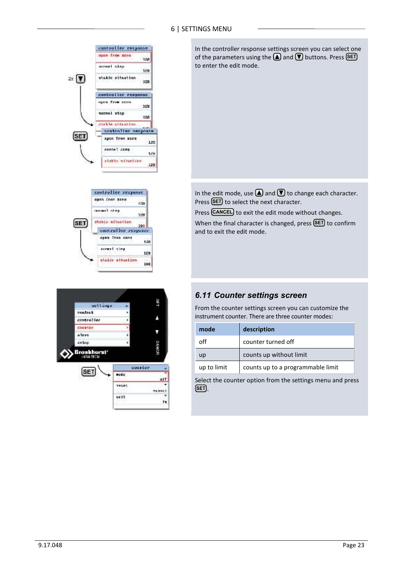

1HS settings peadeat Z centroller constar u, Alave zatun **GANGE** Bronkhorst' coaster **SET** matic afl **YAGAS** isane) urit. Iv

stable altestion

100

In the controller response settings screen you can select one of the parameters using the **△** and **V** buttons. Press **SET** to enter the edit mode.

In the edit mode, use  $\bigcirc$  and  $\bigcirc$  to change each character. Press (SET) to select the next character.

Press **CANCEL** to exit the edit mode without changes. When the final character is changed, press (SET) to confirm and to exit the edit mode.

#### *6.11 Counter settings screen*

From the counter settings screen you can customize the instrument counter. There are three counter modes:

| mode        | description                       |  |
|-------------|-----------------------------------|--|
| off         | counter turned off                |  |
| up          | counts up without limit           |  |
| up to limit | counts up to a programmable limit |  |

Select the counter option from the settings menu and press . **SET**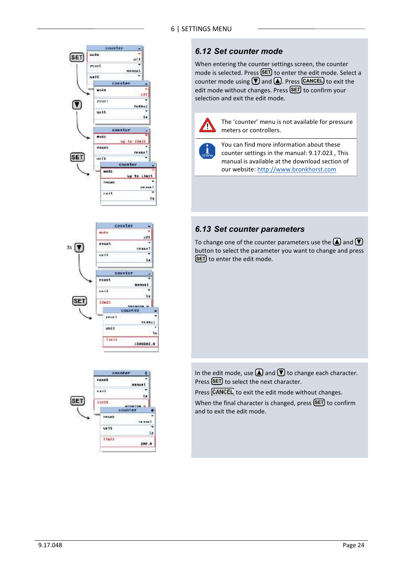

### *6.12 Set counter mode*

When entering the counter settings screen, the counter mode is selected. Press (SET) to enter the edit mode. Select a counter mode using  $\Box$  and  $\Box$ . Press **CANCEL** to exit the edit mode without changes. Press (SET) to confirm your selection and exit the edit mode.



The 'counter' menu is not available for pressure meters or controllers.

You can find more information about these counter settings in the manual: 9.17.023 , This manual is available at the download section of our website: http://www.bronkhorst.com

### *6.13 Set counter parameters*

To change one of the counter parameters use the  $\bigcirc$  and  $\neg$ button to select the parameter you want to change and press **SET**) to enter the edit mode.

In the edit mode, use  $\bigcirc$  and  $\bigcirc$  to change each character. Press (SET) to select the next character.

Press CANCEL to exit the edit mode without changes.

When the final character is changed, press (SET) to confirm and to exit the edit mode.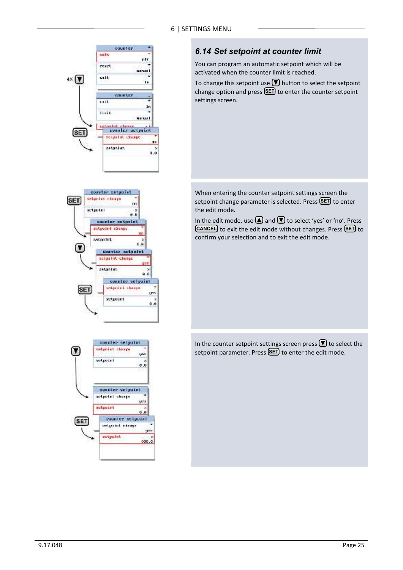

### *6.14 Set setpoint at counter limit*

You can program an automatic setpoint which will be activated when the counter limit is reached.

To change this setpoint use  $\blacksquare$  button to select the setpoint change option and press (SET) to enter the counter setpoint settings screen.

When entering the counter setpoint settings screen the setpoint change parameter is selected. Press (SET) to enter the edit mode.

In the edit mode, use  $\bigcirc$  and  $\bigcirc$  to select 'yes' or 'no'. Press **CANCEL** to exit the edit mode without changes. Press (SET) to confirm your selection and to exit the edit mode.

In the counter setpoint settings screen press  $\bigcirc$  to select the setpoint parameter. Press **(SET**) to enter the edit mode.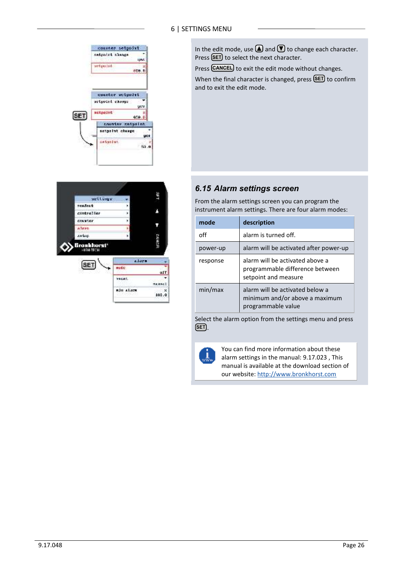



In the edit mode, use  $\bigcirc$  and  $\bigcirc$  to change each character. Press (SET) to select the next character.

Press **CANCEL** to exit the edit mode without changes.

When the final character is changed, press **(SET**) to confirm and to exit the edit mode.

#### *6.15 Alarm settings screen*

From the alarm settings screen you can program the instrument alarm settings. There are four alarm modes:

| mode     | description                                                                                |
|----------|--------------------------------------------------------------------------------------------|
| off      | alarm is turned off.                                                                       |
| power-up | alarm will be activated after power-up                                                     |
| response | alarm will be activated above a<br>programmable difference between<br>setpoint and measure |
| min/max  | alarm will be activated below a<br>minimum and/or above a maximum<br>programmable value    |

Select the alarm option from the settings menu and press . **SET**



You can find more information about these alarm settings in the manual: 9.17.023 , This manual is available at the download section of our website: http://www.bronkhorst.com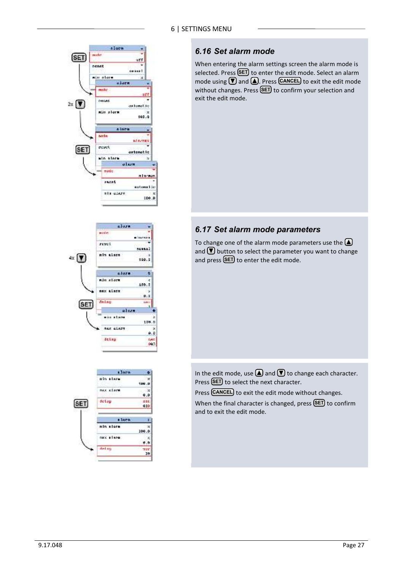#### alaen mide **SET** uvr reset ..... niu atore a long matte **THEAT**  $2 \times \sqrt{7}$ axtunatio nin alarn 190.9 a lors **Bada** at syne reset SET astanat la ain store ù ulam nod: n Lazway **FAXAT** intentio nta stere 100.0





### *6.16 Set alarm mode*

When entering the alarm settings screen the alarm mode is selected. Press (SET) to enter the edit mode. Select an alarm mode using  $\boxed{\blacktriangledown}$  and  $\boxed{\blacktriangle}$ . Press CANCEL to exit the edit mode without changes. Press **(SET**) to confirm your selection and exit the edit mode.

### *6.17 Set alarm mode parameters*

To change one of the alarm mode parameters use the  $\bigcirc$ and  $\bigtriangledown$  button to select the parameter you want to change and press  $SET$  to enter the edit mode.

In the edit mode, use  $\bigcirc$  and  $\bigcirc$  to change each character. Press (SET) to select the next character.

Press **CANCEL** to exit the edit mode without changes.

When the final character is changed, press **(SET**) to confirm and to exit the edit mode.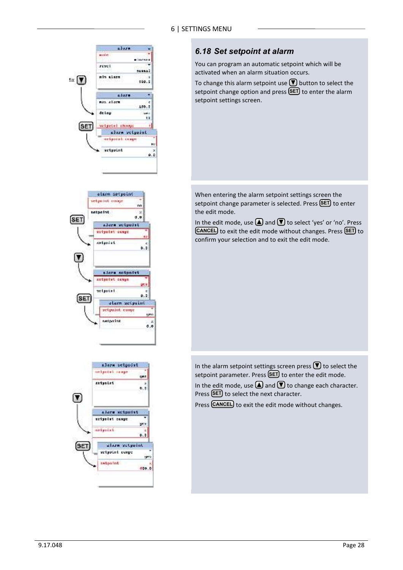

### *6.18 Set setpoint at alarm*

You can program an automatic setpoint which will be activated when an alarm situation occurs.

To change this alarm setpoint use  $\blacksquare$  button to select the setpoint change option and press (SET) to enter the alarm setpoint settings screen.

When entering the alarm setpoint settings screen the setpoint change parameter is selected. Press (SET) to enter the edit mode.

In the edit mode, use  $\bigcirc$  and  $\bigcirc$  to select 'yes' or 'no'. Press **CANCEL** to exit the edit mode without changes. Press (SET) to confirm your selection and to exit the edit mode.

In the alarm setpoint settings screen press  $\blacksquare$  to select the setpoint parameter. Press **(SET**) to enter the edit mode. In the edit mode, use  $\bigcirc$  and  $\bigcirc$  to change each character.

Press (SET) to select the next character.

Press **CANCEL** to exit the edit mode without changes.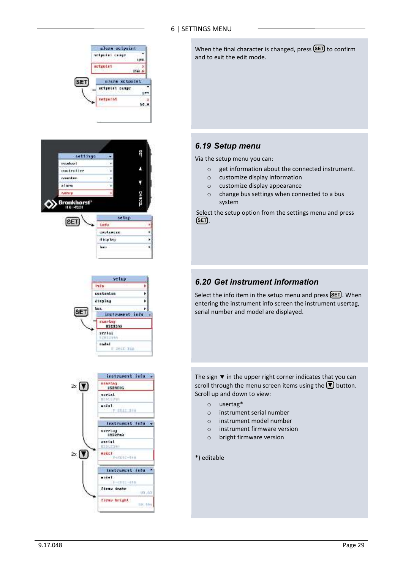







When the final character is changed, press **(SET**) to confirm and to exit the edit mode.

### *6.19 Setup menu*

Via the setup menu you can:

- o get information about the connected instrument.
- o customize display information
- o customize display appearance
- o change bus settings when connected to a bus system

Select the setup option from the settings menu and press . **SET**

### *6.20 Get instrument information*

Select the info item in the setup menu and press **(SET**). When entering the instrument info screen the instrument usertag, serial number and model are displayed.

The sign  $\blacktriangledown$  in the upper right corner indicates that you can scroll through the menu screen items using the  $\bigtriangledown$  button. Scroll up and down to view:

- o usertag\*
- o instrument serial number
- o instrument model number
- o instrument firmware version
- o bright firmware version

\*) editable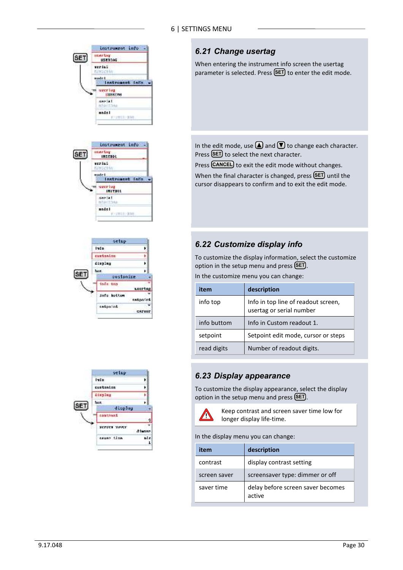

### *6.21 Change usertag*

When entering the instrument info screen the usertag parameter is selected. Press (SET) to enter the edit mode.

In the edit mode, use  $\bigcirc$  and  $\bigcirc$  to change each character. Press (SET) to select the next character.

Press **CANCEL** to exit the edit mode without changes.

When the final character is changed, press **(SET)** until the cursor disappears to confirm and to exit the edit mode.

### *6.22 Customize display info*

To customize the display information, select the customize option in the setup menu and press **(SET**).

In the customize menu you can change:

| item        | description                                                     |  |
|-------------|-----------------------------------------------------------------|--|
| info top    | Info in top line of readout screen,<br>usertag or serial number |  |
| info buttom | Info in Custom readout 1.                                       |  |
| setpoint    | Setpoint edit mode, cursor or steps                             |  |
| read digits | Number of readout digits.                                       |  |

### *6.23 Display appearance*

To customize the display appearance, select the display option in the setup menu and press **(SET**).



Keep contrast and screen saver time low for longer display life-time.

In the display menu you can change:

| item         | description                                 |
|--------------|---------------------------------------------|
| contrast     | display contrast setting                    |
| screen saver | screensaver type: dimmer or off             |
| saver time   | delay before screen saver becomes<br>active |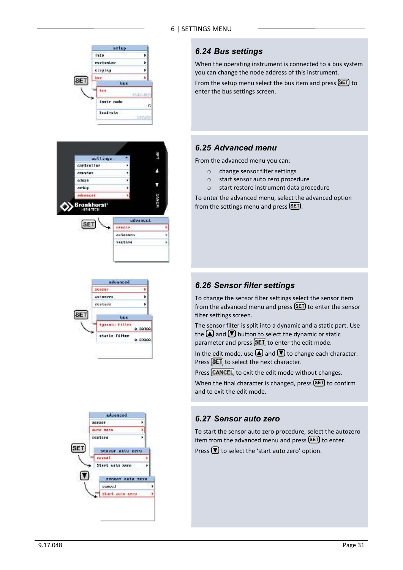







### *6.24 Bus settings*

When the operating instrument is connected to a bus system you can change the node address of this instrument.

From the setup menu select the bus item and press (SET) to enter the bus settings screen.

### *6.25 Advanced menu*

From the advanced menu you can:

- o change sensor filter settings
- o start sensor auto zero procedure
- o start restore instrument data procedure

To enter the advanced menu, select the advanced option from the settings menu and press **(SET**).

### *6.26 Sensor filter settings*

To change the sensor filter settings select the sensor item from the advanced menu and press (SET) to enter the sensor filter settings screen.

The sensor filter is split into a dynamic and a static part. Use the  $\Box$  and  $\nabla$  button to select the dynamic or static parameter and press  $[3E]$  to enter the edit mode.

In the edit mode, use  $\Box$  and  $\nabla$  to change each character. Press **SET** to select the next character.

Press CANCEL to exit the edit mode without changes.

When the final character is changed, press **(SET**) to confirm and to exit the edit mode.

### *6.27 Sensor auto zero*

To start the sensor auto zero procedure, select the autozero item from the advanced menu and press **(SET**) to enter.

Press  $\bigtriangledown$  to select the 'start auto zero' option.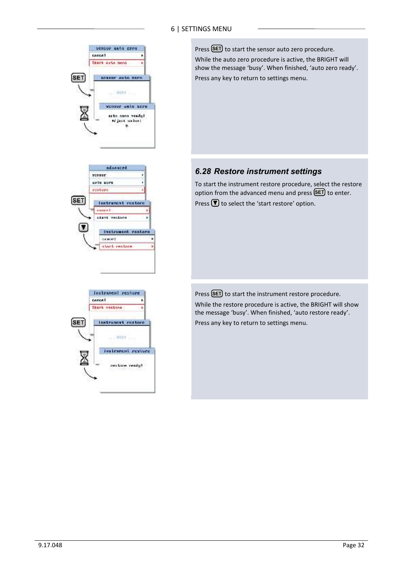

Press (SET) to start the sensor auto zero procedure. While the auto zero procedure is active, the BRIGHT will show the message 'busy'. When finished, 'auto zero ready'. Press any key to return to settings menu.

### *6.28 Restore instrument settings*

To start the instrument restore procedure, select the restore option from the advanced menu and press **SET** to enter. Press  $\bigtriangledown$  to select the 'start restore' option.

Press (SET) to start the instrument restore procedure. While the restore procedure is active, the BRIGHT will show the message 'busy'. When finished, 'auto restore ready'. Press any key to return to settings menu.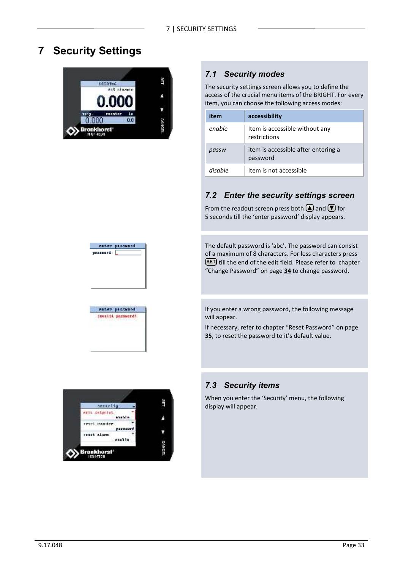# **7 Security Settings**



anter password

anter passened. invalid parsword!

yaxsuard: [

### *7.1 Security modes*

The security settings screen allows you to define the access of the crucial menu items of the BRIGHT. For every item, you can choose the following access modes:

| item    | accessibility                                   |
|---------|-------------------------------------------------|
| enable  | Item is accessible without any<br>restrictions  |
| passw   | item is accessible after entering a<br>password |
| disable | Item is not accessible                          |

### *7.2 Enter the security settings screen*

From the readout screen press both  $\Box$  and  $\Box$  for 5 seconds till the 'enter password' display appears.

The default password is 'abc'. The password can consist of a maximum of 8 characters. For less characters press **SET** till the end of the edit field. Please refer to chapter "Change Password" on page **34** to change password.

If you enter a wrong password, the following message will appear.

If necessary, refer to chapter "Reset Password" on page **35**, to reset the password to it's default value.



#### *7.3 Security items*

When you enter the 'Security' menu, the following display will appear.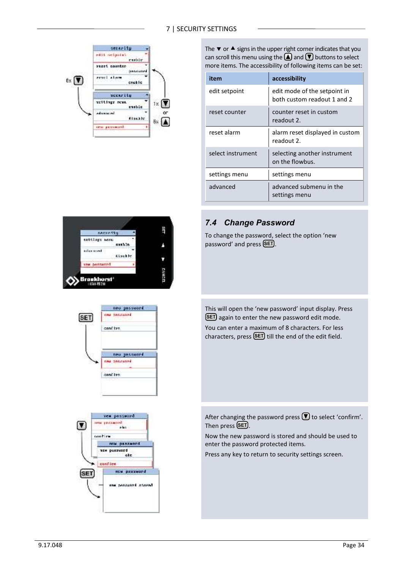#### 7 | SECURITY SETTINGS



The  $\blacktriangledown$  or  $\blacktriangle$  signs in the upper right corner indicates that you can scroll this menu using the  $\Box$  and  $\nabla$  buttons to select more items. The accessibility of following items can be set:

| item              | accessibility                                               |  |
|-------------------|-------------------------------------------------------------|--|
| edit setpoint     | edit mode of the setpoint in<br>both custom readout 1 and 2 |  |
| reset counter     | counter reset in custom<br>readout 2.                       |  |
| reset alarm       | alarm reset displayed in custom<br>readout 2.               |  |
| select instrument | selecting another instrument<br>on the flowbus.             |  |
| settings menu     | settings menu                                               |  |
| advanced          | advanced submenu in the<br>settings menu                    |  |



### *7.4 Change Password*

To change the password, select the option 'new password' and press **SET**.



After changing the password press  $\blacksquare$  to select 'confirm'. Then press **(SET)**.

Now the new password is stored and should be used to enter the password protected items.

Press any key to return to security settings screen.



neo passuaed.

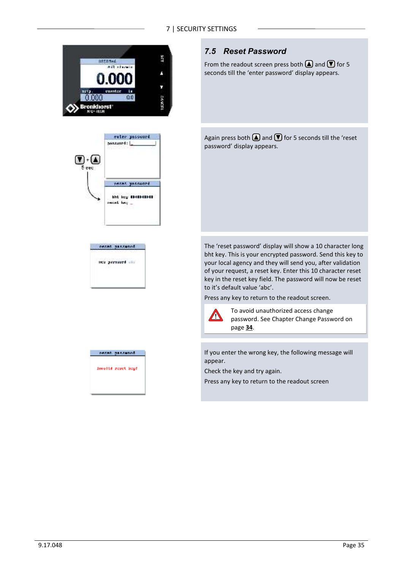





| regat passured      |  |
|---------------------|--|
| drawalld react kepf |  |
|                     |  |

### *7.5 Reset Password*

From the readout screen press both  $\Box$  and  $\nabla$  for 5 seconds till the 'enter password' display appears.

Again press both  $\bigcirc$  and  $\bigcirc$  for 5 seconds till the 'reset password' display appears.

The 'reset password' display will show a 10 character long bht key. This is your encrypted password. Send this key to your local agency and they will send you, after validation of your request, a reset key. Enter this 10 character reset key in the reset key field. The password will now be reset to it's default value 'abc'.

Press any key to return to the readout screen.



To avoid unauthorized access change password. See Chapter Change Password on page **34**.

If you enter the wrong key, the following message will appear.

Check the key and try again.

Press any key to return to the readout screen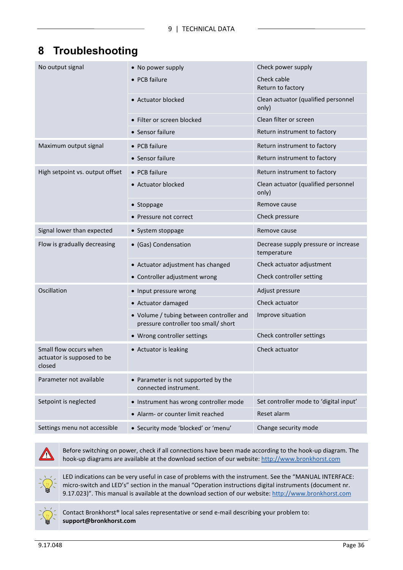# **8 Troubleshooting**

| No output signal                                               | • No power supply                                                                | Check power supply                                  |
|----------------------------------------------------------------|----------------------------------------------------------------------------------|-----------------------------------------------------|
|                                                                | • PCB failure                                                                    | Check cable<br>Return to factory                    |
|                                                                | • Actuator blocked                                                               | Clean actuator (qualified personnel<br>only)        |
|                                                                | • Filter or screen blocked                                                       | Clean filter or screen                              |
|                                                                | • Sensor failure                                                                 | Return instrument to factory                        |
| Maximum output signal                                          | • PCB failure                                                                    | Return instrument to factory                        |
|                                                                | • Sensor failure                                                                 | Return instrument to factory                        |
| High setpoint vs. output offset                                | • PCB failure                                                                    | Return instrument to factory                        |
|                                                                | • Actuator blocked                                                               | Clean actuator (qualified personnel<br>only)        |
|                                                                | • Stoppage                                                                       | Remove cause                                        |
|                                                                | • Pressure not correct                                                           | Check pressure                                      |
| Signal lower than expected                                     | • System stoppage                                                                | Remove cause                                        |
| Flow is gradually decreasing                                   | • (Gas) Condensation                                                             | Decrease supply pressure or increase<br>temperature |
|                                                                | • Actuator adjustment has changed                                                | Check actuator adjustment                           |
|                                                                | • Controller adjustment wrong                                                    | Check controller setting                            |
| Oscillation                                                    | • Input pressure wrong                                                           | Adjust pressure                                     |
|                                                                | • Actuator damaged                                                               | Check actuator                                      |
|                                                                | • Volume / tubing between controller and<br>pressure controller too small/ short | Improve situation                                   |
|                                                                | • Wrong controller settings                                                      | Check controller settings                           |
| Small flow occurs when<br>actuator is supposed to be<br>closed | • Actuator is leaking                                                            | Check actuator                                      |
| Parameter not available                                        | • Parameter is not supported by the<br>connected instrument.                     |                                                     |
| Setpoint is neglected                                          | • Instrument has wrong controller mode                                           | Set controller mode to 'digital input'              |
|                                                                | • Alarm- or counter limit reached                                                | Reset alarm                                         |
| Settings menu not accessible                                   | · Security mode 'blocked' or 'menu'                                              | Change security mode                                |



Before switching on power, check if all connections have been made according to the hook-up diagram. The hook-up diagrams are available at the download section of our website: http://www.bronkhorst.com



LED indications can be very useful in case of problems with the instrument. See the "MANUAL INTERFACE: micro-switch and LED's" section in the manual "Operation instructions digital instruments (document nr. 9.17.023)". This manual is available at the download section of our website: http://www.bronkhorst.com



Contact Bronkhorst® local sales representative or send e-mail describing your problem to: **support@bronkhorst.com**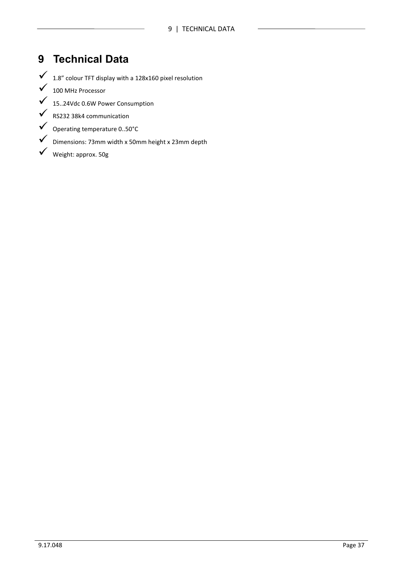# **9 Technical Data**

 $1.8''$  colour TFT display with a 128x160 pixel resolution

- $\checkmark$  100 MHz Processor
- 15..24Vdc 0.6W Power Consumption
- $\checkmark$  RS232 38k4 communication
- Operating temperature 0..50°C
- Dimensions: 73mm width x 50mm height x 23mm depth
- Weight: approx. 50g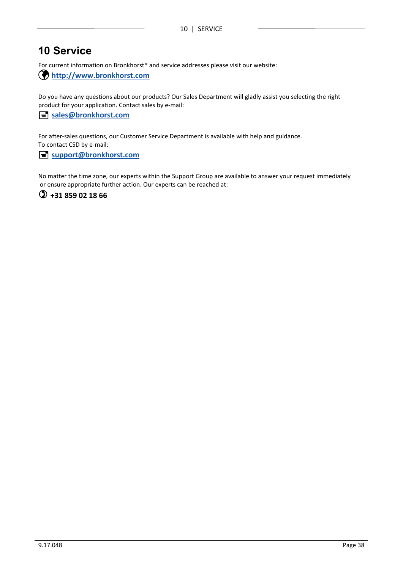# **10 Service**

For current information on Bronkhorst® and service addresses please visit our website:

**http://www.bronkhorst.com**

Do you have any questions about our products? Our Sales Department will gladly assist you selecting the right product for your application. Contact sales by e-mail:

#### **sales@bronkhorst.com**

For after-sales questions, our Customer Service Department is available with help and guidance. To contact CSD by e-mail:

#### **support@bronkhorst.com**

No matter the time zone, our experts within the Support Group are available to answer your request immediately or ensure appropriate further action. Our experts can be reached at:

**+31 859 02 18 66**